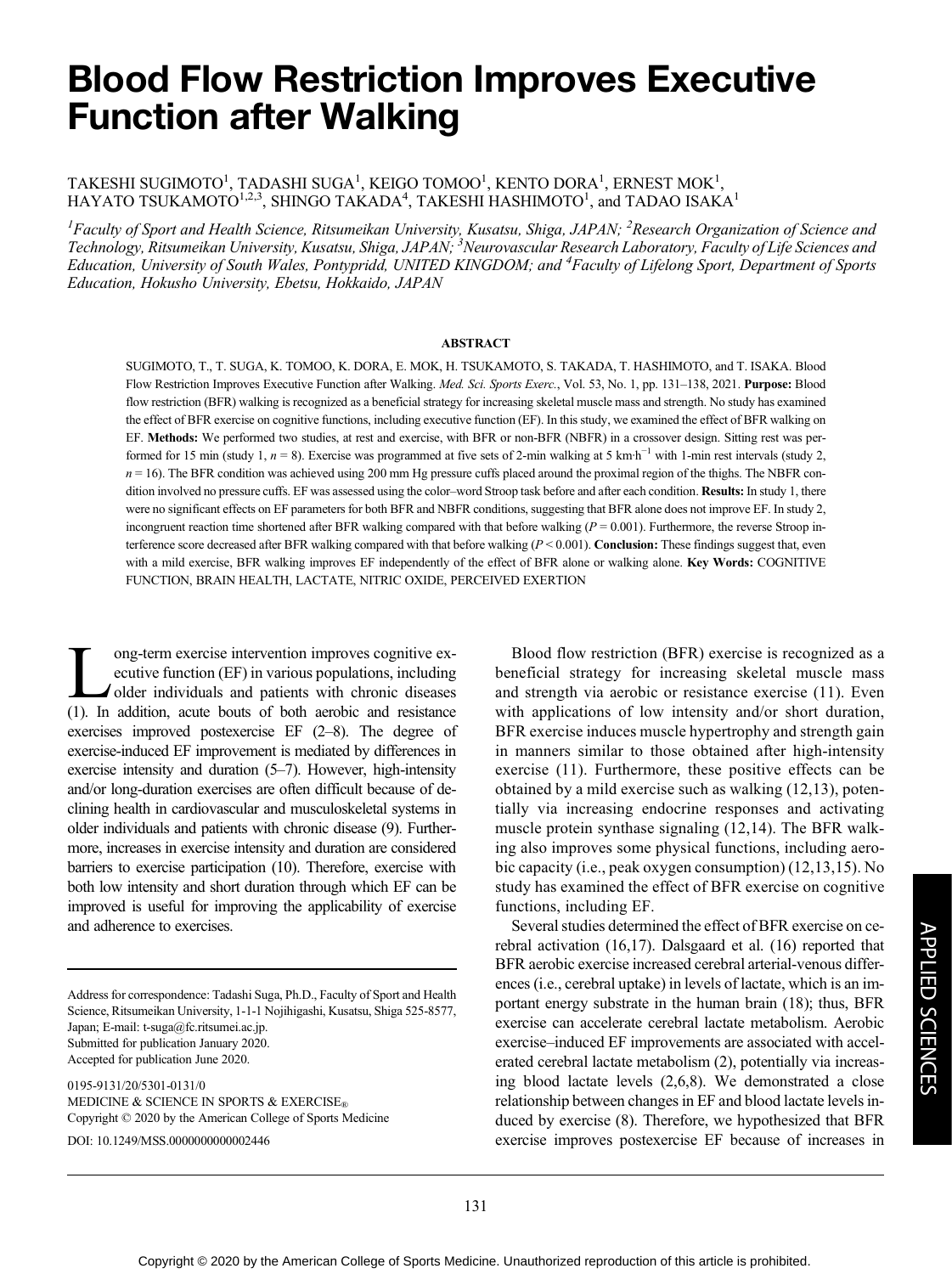# Blood Flow Restriction Improves Executive Function after Walking

#### TAKESHI SUGIMOTO<sup>1</sup>, TADASHI SUGA<sup>1</sup>, KEIGO TOMOO<sup>1</sup>, KENTO DORA<sup>1</sup>, ERNEST MOK<sup>1</sup>, HAYATO TSUKAMOTO $^{1,2,3},$  SHINGO TAKADA $^{4},$  TAKESHI HASHIMOTO $^{1}$ , and TADAO ISAKA $^{1}$

<sup>1</sup>Faculty of Sport and Health Science, Ritsumeikan University, Kusatsu, Shiga, JAPAN; <sup>2</sup>Research Organization of Science and Technology, Ritsumeikan University, Kusatsu, Shiga, JAPAN; <sup>3</sup>Neurovascular Research Laboratory, Faculty of Life Sciences and Education, University of South Wales, Pontypridd, UNITED KINGDOM; and <sup>4</sup>Faculty of Lifelong Sport, Department of Sports Education, Hokusho University, Ebetsu, Hokkaido, JAPAN

#### ABSTRACT

SUGIMOTO, T., T. SUGA, K. TOMOO, K. DORA, E. MOK, H. TSUKAMOTO, S. TAKADA, T. HASHIMOTO, and T. ISAKA. Blood Flow Restriction Improves Executive Function after Walking. Med. Sci. Sports Exerc., Vol. 53, No. 1, pp. 131-138, 2021. Purpose: Blood flow restriction (BFR) walking is recognized as a beneficial strategy for increasing skeletal muscle mass and strength. No study has examined the effect of BFR exercise on cognitive functions, including executive function (EF). In this study, we examined the effect of BFR walking on EF. Methods: We performed two studies, at rest and exercise, with BFR or non-BFR (NBFR) in a crossover design. Sitting rest was performed for 15 min (study 1,  $n = 8$ ). Exercise was programmed at five sets of 2-min walking at 5 km·h<sup>-1</sup> with 1-min rest intervals (study 2,  $n = 16$ ). The BFR condition was achieved using 200 mm Hg pressure cuffs placed around the proximal region of the thighs. The NBFR condition involved no pressure cuffs. EF was assessed using the color-word Stroop task before and after each condition. Results: In study 1, there were no significant effects on EF parameters for both BFR and NBFR conditions, suggesting that BFR alone does not improve EF. In study 2, incongruent reaction time shortened after BFR walking compared with that before walking ( $P = 0.001$ ). Furthermore, the reverse Stroop interference score decreased after BFR walking compared with that before walking  $(P < 0.001)$ . Conclusion: These findings suggest that, even with a mild exercise, BFR walking improves EF independently of the effect of BFR alone or walking alone. Key Words: COGNITIVE FUNCTION, BRAIN HEALTH, LACTATE, NITRIC OXIDE, PERCEIVED EXERTION

Improves cognitive executive function (EF) in various populations, including<br>older individuals and patients with chronic diseases<br>(1) In addition acute bouts of both aerobic and resistance ecutive function (EF) in various populations, including older individuals and patients with chronic diseases (1). In addition, acute bouts of both aerobic and resistance exercises improved postexercise EF (2–8). The degree of exercise-induced EF improvement is mediated by differences in exercise intensity and duration (5–7). However, high-intensity and/or long-duration exercises are often difficult because of declining health in cardiovascular and musculoskeletal systems in older individuals and patients with chronic disease (9). Furthermore, increases in exercise intensity and duration are considered barriers to exercise participation (10). Therefore, exercise with both low intensity and short duration through which EF can be improved is useful for improving the applicability of exercise and adherence to exercises.

Address for correspondence: Tadashi Suga, Ph.D., Faculty of Sport and Health Science, Ritsumeikan University, 1-1-1 Nojihigashi, Kusatsu, Shiga 525-8577, Japan; E-mail: [t-suga@fc.ritsumei.ac.jp.](mailto:t-suga@fc.ritsumei.ac.jp) Submitted for publication January 2020. Accepted for publication June 2020.

0195-9131/20/5301-0131/0 MEDICINE & SCIENCE IN SPORTS & EXERCISE® Copyright © 2020 by the American College of Sports Medicine DOI: 10.1249/MSS.0000000000002446

Blood flow restriction (BFR) exercise is recognized as a beneficial strategy for increasing skeletal muscle mass and strength via aerobic or resistance exercise (11). Even with applications of low intensity and/or short duration, BFR exercise induces muscle hypertrophy and strength gain in manners similar to those obtained after high-intensity exercise (11). Furthermore, these positive effects can be obtained by a mild exercise such as walking (12,13), potentially via increasing endocrine responses and activating muscle protein synthase signaling (12,14). The BFR walking also improves some physical functions, including aerobic capacity (i.e., peak oxygen consumption) (12,13,15). No study has examined the effect of BFR exercise on cognitive functions, including EF.

Several studies determined the effect of BFR exercise on cerebral activation (16,17). Dalsgaard et al. (16) reported that BFR aerobic exercise increased cerebral arterial-venous differences (i.e., cerebral uptake) in levels of lactate, which is an important energy substrate in the human brain (18); thus, BFR exercise can accelerate cerebral lactate metabolism. Aerobic exercise–induced EF improvements are associated with accelerated cerebral lactate metabolism (2), potentially via increasing blood lactate levels (2,6,8). We demonstrated a close relationship between changes in EF and blood lactate levels induced by exercise (8). Therefore, we hypothesized that BFR exercise improves postexercise EF because of increases in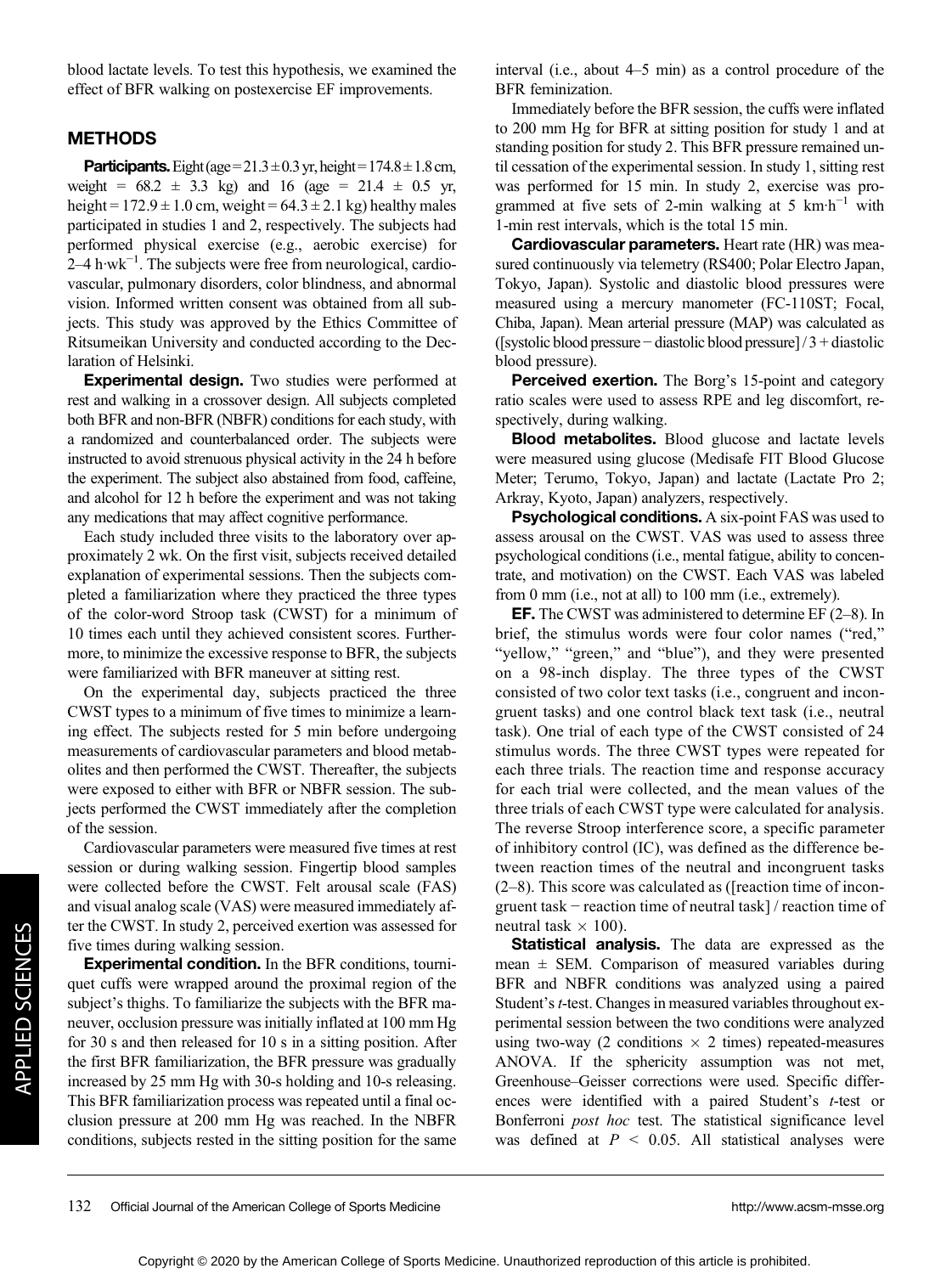blood lactate levels. To test this hypothesis, we examined the effect of BFR walking on postexercise EF improvements.

### METHODS

**Participants.** Eight (age =  $21.3 \pm 0.3$  yr, height =  $174.8 \pm 1.8$  cm, weight =  $68.2 \pm 3.3$  kg) and 16 (age =  $21.4 \pm 0.5$  yr, height =  $172.9 \pm 1.0$  cm, weight =  $64.3 \pm 2.1$  kg) healthy males participated in studies 1 and 2, respectively. The subjects had performed physical exercise (e.g., aerobic exercise) for 2–4 h·wk−<sup>1</sup> . The subjects were free from neurological, cardiovascular, pulmonary disorders, color blindness, and abnormal vision. Informed written consent was obtained from all subjects. This study was approved by the Ethics Committee of Ritsumeikan University and conducted according to the Declaration of Helsinki.

**Experimental design.** Two studies were performed at rest and walking in a crossover design. All subjects completed both BFR and non-BFR (NBFR) conditions for each study, with a randomized and counterbalanced order. The subjects were instructed to avoid strenuous physical activity in the 24 h before the experiment. The subject also abstained from food, caffeine, and alcohol for 12 h before the experiment and was not taking any medications that may affect cognitive performance.

Each study included three visits to the laboratory over approximately 2 wk. On the first visit, subjects received detailed explanation of experimental sessions. Then the subjects completed a familiarization where they practiced the three types of the color-word Stroop task (CWST) for a minimum of 10 times each until they achieved consistent scores. Furthermore, to minimize the excessive response to BFR, the subjects were familiarized with BFR maneuver at sitting rest.

On the experimental day, subjects practiced the three CWST types to a minimum of five times to minimize a learning effect. The subjects rested for 5 min before undergoing measurements of cardiovascular parameters and blood metabolites and then performed the CWST. Thereafter, the subjects were exposed to either with BFR or NBFR session. The subjects performed the CWST immediately after the completion of the session.

Cardiovascular parameters were measured five times at rest session or during walking session. Fingertip blood samples were collected before the CWST. Felt arousal scale (FAS) and visual analog scale (VAS) were measured immediately after the CWST. In study 2, perceived exertion was assessed for five times during walking session.

Experimental condition. In the BFR conditions, tourniquet cuffs were wrapped around the proximal region of the subject's thighs. To familiarize the subjects with the BFR maneuver, occlusion pressure was initially inflated at 100 mm Hg for 30 s and then released for 10 s in a sitting position. After the first BFR familiarization, the BFR pressure was gradually increased by 25 mm Hg with 30-s holding and 10-s releasing. This BFR familiarization process was repeated until a final occlusion pressure at 200 mm Hg was reached. In the NBFR conditions, subjects rested in the sitting position for the same

interval (i.e., about 4–5 min) as a control procedure of the BFR feminization.

Immediately before the BFR session, the cuffs were inflated to 200 mm Hg for BFR at sitting position for study 1 and at standing position for study 2. This BFR pressure remained until cessation of the experimental session. In study 1, sitting rest was performed for 15 min. In study 2, exercise was programmed at five sets of 2-min walking at 5 km·h<sup>-1</sup> with 1-min rest intervals, which is the total 15 min.

Cardiovascular parameters. Heart rate (HR) was measured continuously via telemetry (RS400; Polar Electro Japan, Tokyo, Japan). Systolic and diastolic blood pressures were measured using a mercury manometer (FC-110ST; Focal, Chiba, Japan). Mean arterial pressure (MAP) was calculated as ([systolic blood pressure − diastolic blood pressure] / 3 + diastolic blood pressure).

Perceived exertion. The Borg's 15-point and category ratio scales were used to assess RPE and leg discomfort, respectively, during walking.

Blood metabolites. Blood glucose and lactate levels were measured using glucose (Medisafe FIT Blood Glucose Meter; Terumo, Tokyo, Japan) and lactate (Lactate Pro 2; Arkray, Kyoto, Japan) analyzers, respectively.

Psychological conditions. A six-point FAS was used to assess arousal on the CWST. VAS was used to assess three psychological conditions (i.e., mental fatigue, ability to concentrate, and motivation) on the CWST. Each VAS was labeled from 0 mm (i.e., not at all) to 100 mm (i.e., extremely).

EF. The CWST was administered to determine EF (2–8). In brief, the stimulus words were four color names ("red," "yellow," "green," and "blue"), and they were presented on a 98-inch display. The three types of the CWST consisted of two color text tasks (i.e., congruent and incongruent tasks) and one control black text task (i.e., neutral task). One trial of each type of the CWST consisted of 24 stimulus words. The three CWST types were repeated for each three trials. The reaction time and response accuracy for each trial were collected, and the mean values of the three trials of each CWST type were calculated for analysis. The reverse Stroop interference score, a specific parameter of inhibitory control (IC), was defined as the difference between reaction times of the neutral and incongruent tasks (2–8). This score was calculated as ([reaction time of incongruent task − reaction time of neutral task] / reaction time of neutral task  $\times$  100).

Statistical analysis. The data are expressed as the mean  $\pm$  SEM. Comparison of measured variables during BFR and NBFR conditions was analyzed using a paired Student's t-test. Changes in measured variables throughout experimental session between the two conditions were analyzed using two-way (2 conditions  $\times$  2 times) repeated-measures ANOVA. If the sphericity assumption was not met, Greenhouse–Geisser corrections were used. Specific differences were identified with a paired Student's t-test or Bonferroni post hoc test. The statistical significance level was defined at  $P < 0.05$ . All statistical analyses were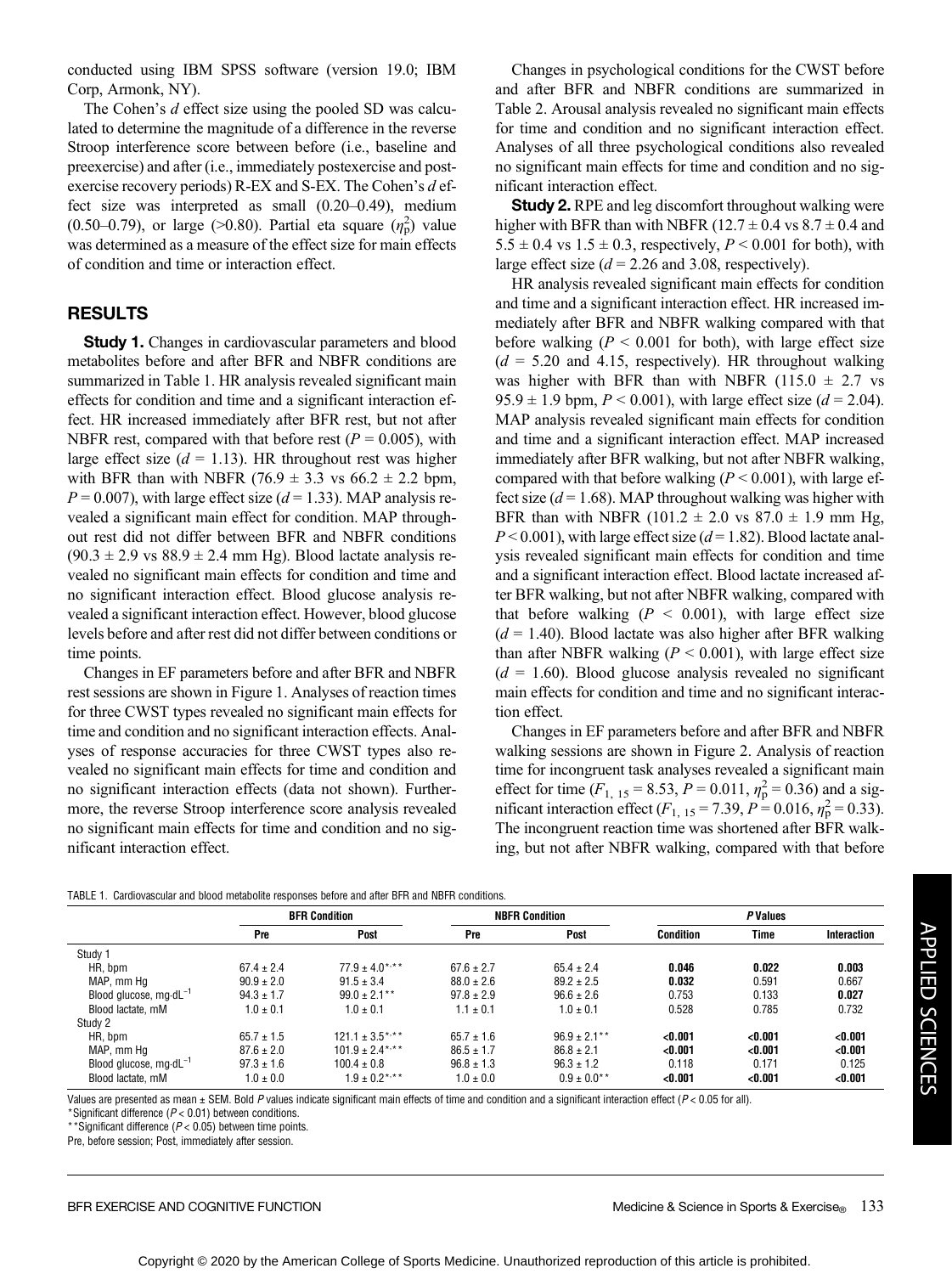conducted using IBM SPSS software (version 19.0; IBM Corp, Armonk, NY).

The Cohen's d effect size using the pooled SD was calculated to determine the magnitude of a difference in the reverse Stroop interference score between before (i.e., baseline and preexercise) and after (i.e., immediately postexercise and postexercise recovery periods) R-EX and S-EX. The Cohen's d effect size was interpreted as small (0.20–0.49), medium (0.50–0.79), or large (>0.80). Partial eta square  $(\eta_p^2)$  value was determined as a measure of the effect size for main effects of condition and time or interaction effect.

# RESULTS

**Study 1.** Changes in cardiovascular parameters and blood metabolites before and after BFR and NBFR conditions are summarized in Table 1. HR analysis revealed significant main effects for condition and time and a significant interaction effect. HR increased immediately after BFR rest, but not after NBFR rest, compared with that before rest ( $P = 0.005$ ), with large effect size  $(d = 1.13)$ . HR throughout rest was higher with BFR than with NBFR (76.9  $\pm$  3.3 vs 66.2  $\pm$  2.2 bpm,  $P = 0.007$ ), with large effect size ( $d = 1.33$ ). MAP analysis revealed a significant main effect for condition. MAP throughout rest did not differ between BFR and NBFR conditions  $(90.3 \pm 2.9 \text{ vs } 88.9 \pm 2.4 \text{ mm Hg})$ . Blood lactate analysis revealed no significant main effects for condition and time and no significant interaction effect. Blood glucose analysis revealed a significant interaction effect. However, blood glucose levels before and after rest did not differ between conditions or time points.

Changes in EF parameters before and after BFR and NBFR rest sessions are shown in Figure 1. Analyses of reaction times for three CWST types revealed no significant main effects for time and condition and no significant interaction effects. Analyses of response accuracies for three CWST types also revealed no significant main effects for time and condition and no significant interaction effects (data not shown). Furthermore, the reverse Stroop interference score analysis revealed no significant main effects for time and condition and no significant interaction effect.

Changes in psychological conditions for the CWST before and after BFR and NBFR conditions are summarized in Table 2. Arousal analysis revealed no significant main effects for time and condition and no significant interaction effect. Analyses of all three psychological conditions also revealed no significant main effects for time and condition and no significant interaction effect.

**Study 2.** RPE and leg discomfort throughout walking were higher with BFR than with NBFR ( $12.7 \pm 0.4$  vs  $8.7 \pm 0.4$  and  $5.5 \pm 0.4$  vs  $1.5 \pm 0.3$ , respectively,  $P < 0.001$  for both), with large effect size  $(d = 2.26$  and 3.08, respectively).

HR analysis revealed significant main effects for condition and time and a significant interaction effect. HR increased immediately after BFR and NBFR walking compared with that before walking  $(P < 0.001$  for both), with large effect size  $(d = 5.20$  and 4.15, respectively). HR throughout walking was higher with BFR than with NBFR  $(115.0 \pm 2.7 \text{ vs }$ 95.9  $\pm$  1.9 bpm,  $P < 0.001$ ), with large effect size ( $d = 2.04$ ). MAP analysis revealed significant main effects for condition and time and a significant interaction effect. MAP increased immediately after BFR walking, but not after NBFR walking, compared with that before walking ( $P < 0.001$ ), with large effect size  $(d = 1.68)$ . MAP throughout walking was higher with BFR than with NBFR  $(101.2 \pm 2.0 \text{ vs } 87.0 \pm 1.9 \text{ mm Hg})$ ,  $P < 0.001$ ), with large effect size ( $d = 1.82$ ). Blood lactate analysis revealed significant main effects for condition and time and a significant interaction effect. Blood lactate increased after BFR walking, but not after NBFR walking, compared with that before walking  $(P < 0.001)$ , with large effect size  $(d = 1.40)$ . Blood lactate was also higher after BFR walking than after NBFR walking ( $P < 0.001$ ), with large effect size  $(d = 1.60)$ . Blood glucose analysis revealed no significant main effects for condition and time and no significant interaction effect.

Changes in EF parameters before and after BFR and NBFR walking sessions are shown in Figure 2. Analysis of reaction time for incongruent task analyses revealed a significant main effect for time ( $F_{1, 15} = 8.53$ ,  $P = 0.011$ ,  $\eta_{p}^{2} = 0.36$ ) and a significant interaction effect  $(F_{1, 15} = 7.39, P = 0.016, \eta_{p}^{2} = 0.33)$ . The incongruent reaction time was shortened after BFR walking, but not after NBFR walking, compared with that before

|                                   | <b>BFR Condition</b> |                      | <b>NBFR Condition</b> |                   | <b>P</b> Values  |         |             |
|-----------------------------------|----------------------|----------------------|-----------------------|-------------------|------------------|---------|-------------|
|                                   | Pre                  | Post                 | Pre                   | Post              | <b>Condition</b> | Time    | Interaction |
| Study 1                           |                      |                      |                       |                   |                  |         |             |
| HR, bpm                           | $67.4 \pm 2.4$       | $77.9 \pm 4.0$ ***   | $67.6 \pm 2.7$        | $65.4 \pm 2.4$    | 0.046            | 0.022   | 0.003       |
| MAP, mm Hg                        | $90.9 \pm 2.0$       | $91.5 \pm 3.4$       | $88.0 \pm 2.6$        | $89.2 + 2.5$      | 0.032            | 0.591   | 0.667       |
| Blood glucose, $mq \cdot dL^{-1}$ | $94.3 \pm 1.7$       | $99.0 \pm 2.1***$    | $97.8 \pm 2.9$        | $96.6 \pm 2.6$    | 0.753            | 0.133   | 0.027       |
| Blood lactate, mM                 | $1.0 \pm 0.1$        | $1.0 \pm 0.1$        | $1.1 \pm 0.1$         | $1.0 \pm 0.1$     | 0.528            | 0.785   | 0.732       |
| Study 2                           |                      |                      |                       |                   |                  |         |             |
| HR, bpm                           | $65.7 \pm 1.5$       | $121.1 \pm 3.5$ *,** | $65.7 \pm 1.6$        | $96.9 \pm 2.1***$ | < 0.001          | < 0.001 | < 0.001     |
| MAP, mm Hg                        | $87.6 \pm 2.0$       | $101.9 \pm 2.4***$   | $86.5 \pm 1.7$        | $86.8 \pm 2.1$    | < 0.001          | < 0.001 | < 0.001     |
| Blood glucose, $mq \cdot dL^{-1}$ | $97.3 \pm 1.6$       | $100.4 \pm 0.8$      | $96.8 \pm 1.3$        | $96.3 \pm 1.2$    | 0.118            | 0.171   | 0.125       |
| Blood lactate, mM                 | $1.0 \pm 0.0$        | $1.9 \pm 0.2$ ***    | $1.0 \pm 0.0$         | $0.9 \pm 0.0$ **  | < 0.001          | < 0.001 | < 0.001     |

Values are presented as mean  $\pm$  SEM. Bold P values indicate significant main effects of time and condition and a significant interaction effect ( $P < 0.05$  for all).

\*Significant difference ( $P < 0.01$ ) between conditions.

\*\*Significant difference ( $P < 0.05$ ) between time points.

Pre, before session; Post, immediately after session.

APPLIED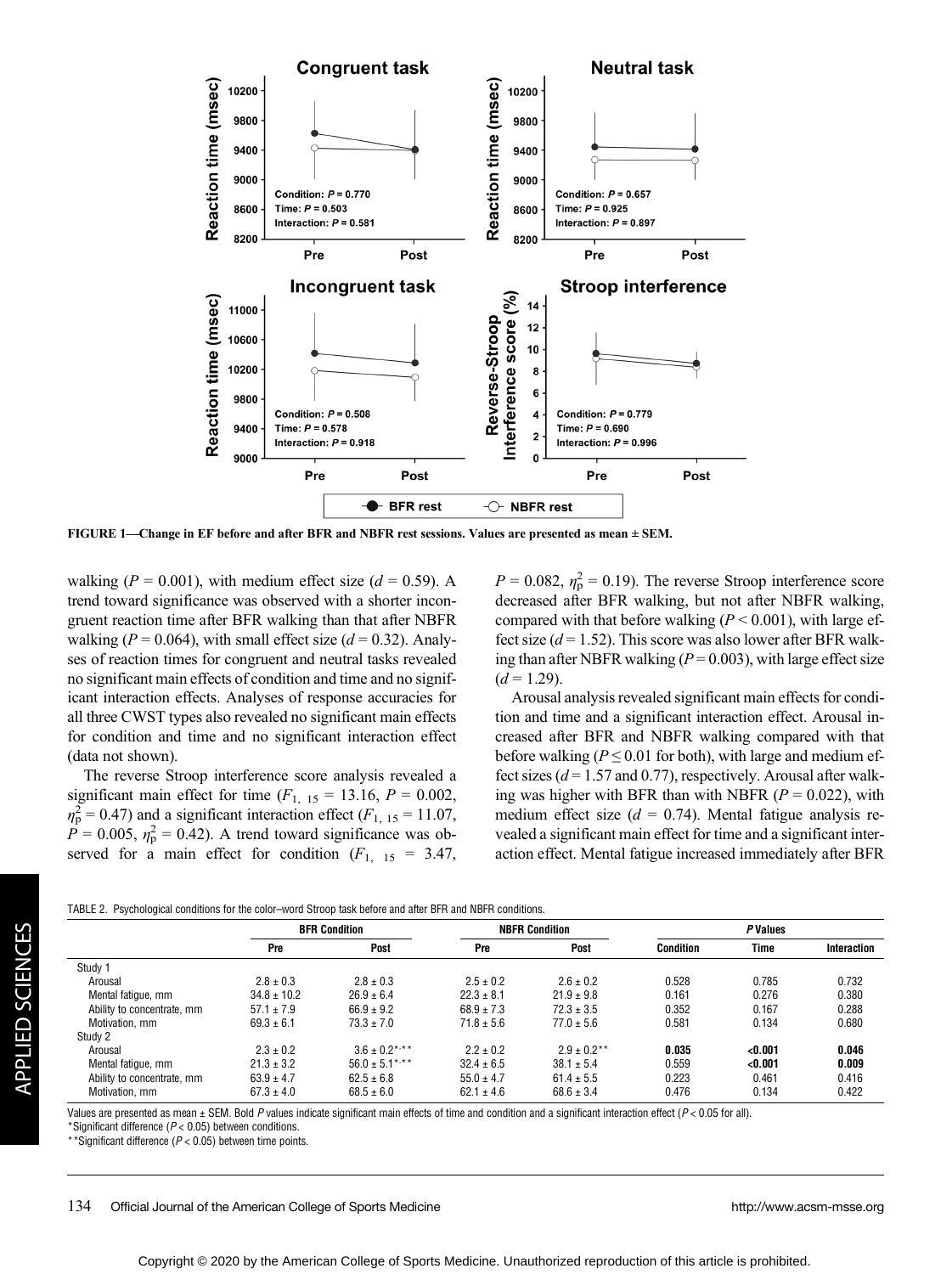

FIGURE 1—Change in EF before and after BFR and NBFR rest sessions. Values are presented as mean ± SEM.

walking ( $P = 0.001$ ), with medium effect size ( $d = 0.59$ ). A trend toward significance was observed with a shorter incongruent reaction time after BFR walking than that after NBFR walking ( $P = 0.064$ ), with small effect size ( $d = 0.32$ ). Analyses of reaction times for congruent and neutral tasks revealed no significant main effects of condition and time and no significant interaction effects. Analyses of response accuracies for all three CWST types also revealed no significant main effects for condition and time and no significant interaction effect (data not shown).

The reverse Stroop interference score analysis revealed a significant main effect for time  $(F<sub>1, 15</sub> = 13.16, P = 0.002,$  $\eta_{\rm p}^2$  = 0.47) and a significant interaction effect ( $F_{1, 15}$  = 11.07,  $\hat{P} = 0.005$ ,  $\eta_{\rm p}^2 = 0.42$ ). A trend toward significance was observed for a main effect for condition  $(F_{1, 15} = 3.47,$ 

 $P = 0.082$ ,  $\eta_{\rm p}^2 = 0.19$ ). The reverse Stroop interference score decreased after BFR walking, but not after NBFR walking, compared with that before walking  $(P < 0.001)$ , with large effect size  $(d = 1.52)$ . This score was also lower after BFR walking than after NBFR walking ( $P = 0.003$ ), with large effect size  $(d = 1.29)$ .

Arousal analysis revealed significant main effects for condition and time and a significant interaction effect. Arousal increased after BFR and NBFR walking compared with that before walking ( $P \le 0.01$  for both), with large and medium effect sizes ( $d = 1.57$  and 0.77), respectively. Arousal after walking was higher with BFR than with NBFR ( $P = 0.022$ ), with medium effect size ( $d = 0.74$ ). Mental fatigue analysis revealed a significant main effect for time and a significant interaction effect. Mental fatigue increased immediately after BFR

|                            | <b>BFR Condition</b> |                    | <b>NBFR Condition</b> |                  | <b>PValues</b>   |         |             |
|----------------------------|----------------------|--------------------|-----------------------|------------------|------------------|---------|-------------|
|                            | Pre                  | Post               | Pre                   | Post             | <b>Condition</b> | Time    | Interaction |
| Study 1                    |                      |                    |                       |                  |                  |         |             |
| Arousal                    | $2.8 \pm 0.3$        | $2.8 \pm 0.3$      | $2.5 \pm 0.2$         | $2.6 \pm 0.2$    | 0.528            | 0.785   | 0.732       |
| Mental fatique, mm         | $34.8 \pm 10.2$      | $26.9 + 6.4$       | $22.3 \pm 8.1$        | $21.9 \pm 9.8$   | 0.161            | 0.276   | 0.380       |
| Ability to concentrate, mm | $57.1 \pm 7.9$       | $66.9 + 9.2$       | $68.9 \pm 7.3$        | $72.3 \pm 3.5$   | 0.352            | 0.167   | 0.288       |
| Motivation, mm             | $69.3 \pm 6.1$       | $73.3 + 7.0$       | $71.8 \pm 5.6$        | $77.0 \pm 5.6$   | 0.581            | 0.134   | 0.680       |
| Study 2                    |                      |                    |                       |                  |                  |         |             |
| Arousal                    | $2.3 \pm 0.2$        | $3.6 \pm 0.2$ *,** | $2.2 \pm 0.2$         | $2.9 \pm 0.2$ ** | 0.035            | < 0.001 | 0.046       |
| Mental fatique, mm         | $21.3 \pm 3.2$       | $56.0 \pm 5.1***$  | $32.4 \pm 6.5$        | $38.1 \pm 5.4$   | 0.559            | < 0.001 | 0.009       |
| Ability to concentrate, mm | $63.9 \pm 4.7$       | $62.5 + 6.8$       | $55.0 \pm 4.7$        | $61.4 \pm 5.5$   | 0.223            | 0.461   | 0.416       |
| Motivation, mm             | $67.3 \pm 4.0$       | $68.5 \pm 6.0$     | $62.1 \pm 4.6$        | $68.6 \pm 3.4$   | 0.476            | 0.134   | 0.422       |

TABLE 2. Psychological conditions for the color–word Stroop task before and after BFR and NBFR conditions.

Values are presented as mean ± SEM. Bold P values indicate significant main effects of time and condition and a significant interaction effect (P < 0.05 for all).

\*Significant difference ( $P < 0.05$ ) between conditions.

\*\*Significant difference ( $P < 0.05$ ) between time points.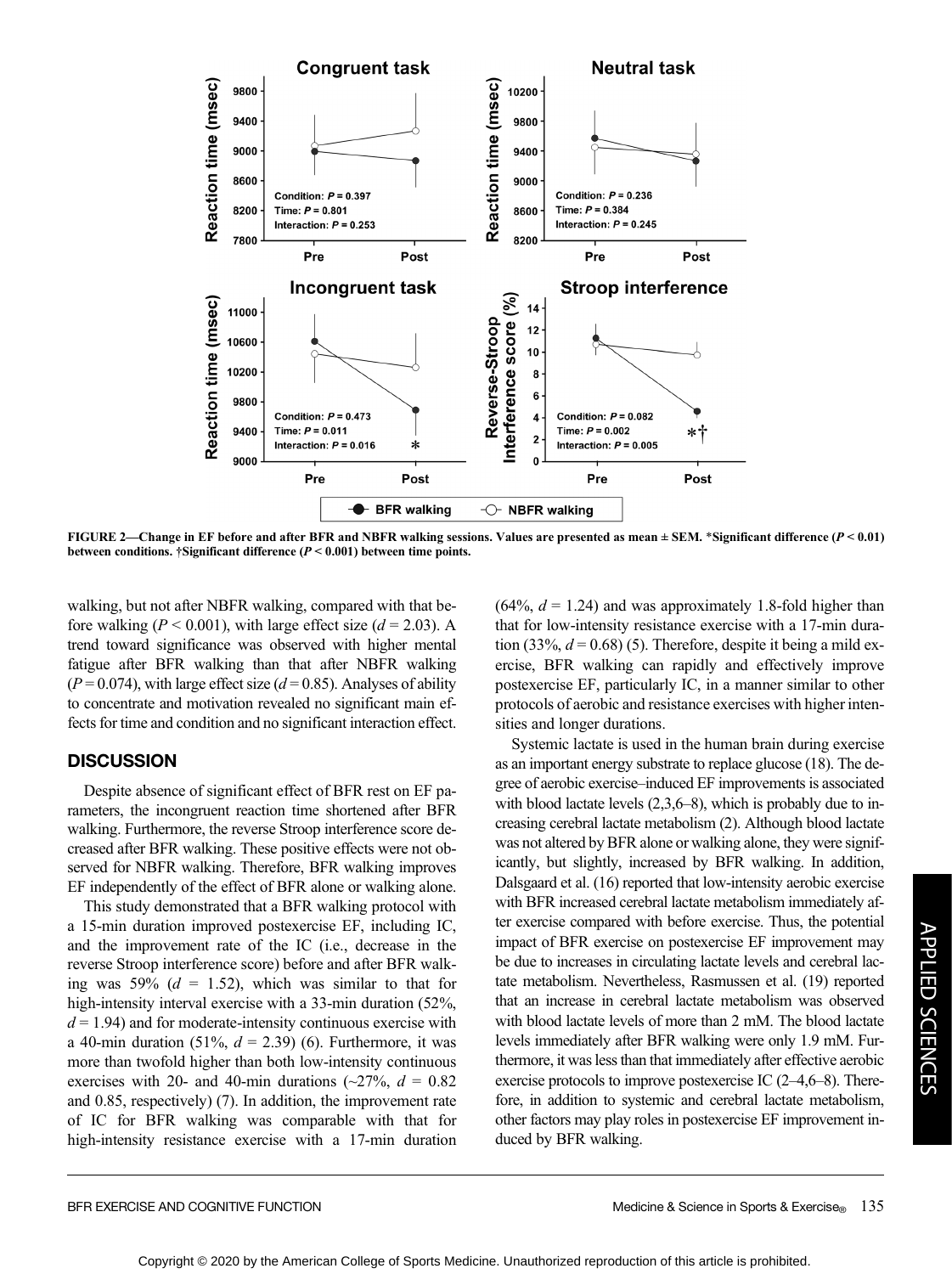

FIGURE 2—Change in EF before and after BFR and NBFR walking sessions. Values are presented as mean  $\pm$  SEM. \*Significant difference ( $P$  < 0.01) between conditions. †Significant difference  $(P < 0.001)$  between time points.

walking, but not after NBFR walking, compared with that before walking ( $P < 0.001$ ), with large effect size ( $d = 2.03$ ). A trend toward significance was observed with higher mental fatigue after BFR walking than that after NBFR walking  $(P = 0.074)$ , with large effect size ( $d = 0.85$ ). Analyses of ability to concentrate and motivation revealed no significant main effects for time and condition and no significant interaction effect.

# **DISCUSSION**

Despite absence of significant effect of BFR rest on EF parameters, the incongruent reaction time shortened after BFR walking. Furthermore, the reverse Stroop interference score decreased after BFR walking. These positive effects were not observed for NBFR walking. Therefore, BFR walking improves EF independently of the effect of BFR alone or walking alone.

This study demonstrated that a BFR walking protocol with a 15-min duration improved postexercise EF, including IC, and the improvement rate of the IC (i.e., decrease in the reverse Stroop interference score) before and after BFR walking was 59%  $(d = 1.52)$ , which was similar to that for high-intensity interval exercise with a 33-min duration (52%,  $d = 1.94$ ) and for moderate-intensity continuous exercise with a 40-min duration (51%,  $d = 2.39$ ) (6). Furthermore, it was more than twofold higher than both low-intensity continuous exercises with 20- and 40-min durations ( $\sim$ 27%,  $d = 0.82$ ) and 0.85, respectively) (7). In addition, the improvement rate of IC for BFR walking was comparable with that for high-intensity resistance exercise with a 17-min duration  $(64\%, d = 1.24)$  and was approximately 1.8-fold higher than that for low-intensity resistance exercise with a 17-min duration (33%,  $d = 0.68$ ) (5). Therefore, despite it being a mild exercise, BFR walking can rapidly and effectively improve postexercise EF, particularly IC, in a manner similar to other protocols of aerobic and resistance exercises with higher intensities and longer durations.

Systemic lactate is used in the human brain during exercise as an important energy substrate to replace glucose (18). The degree of aerobic exercise–induced EF improvements is associated with blood lactate levels  $(2,3,6-8)$ , which is probably due to increasing cerebral lactate metabolism (2). Although blood lactate was not altered by BFR alone or walking alone, they were significantly, but slightly, increased by BFR walking. In addition, Dalsgaard et al. (16) reported that low-intensity aerobic exercise with BFR increased cerebral lactate metabolism immediately after exercise compared with before exercise. Thus, the potential impact of BFR exercise on postexercise EF improvement may be due to increases in circulating lactate levels and cerebral lactate metabolism. Nevertheless, Rasmussen et al. (19) reported that an increase in cerebral lactate metabolism was observed with blood lactate levels of more than 2 mM. The blood lactate levels immediately after BFR walking were only 1.9 mM. Furthermore, it was less than that immediately after effective aerobic exercise protocols to improve postexercise IC (2–4,6–8). Therefore, in addition to systemic and cerebral lactate metabolism, other factors may play roles in postexercise EF improvement induced by BFR walking.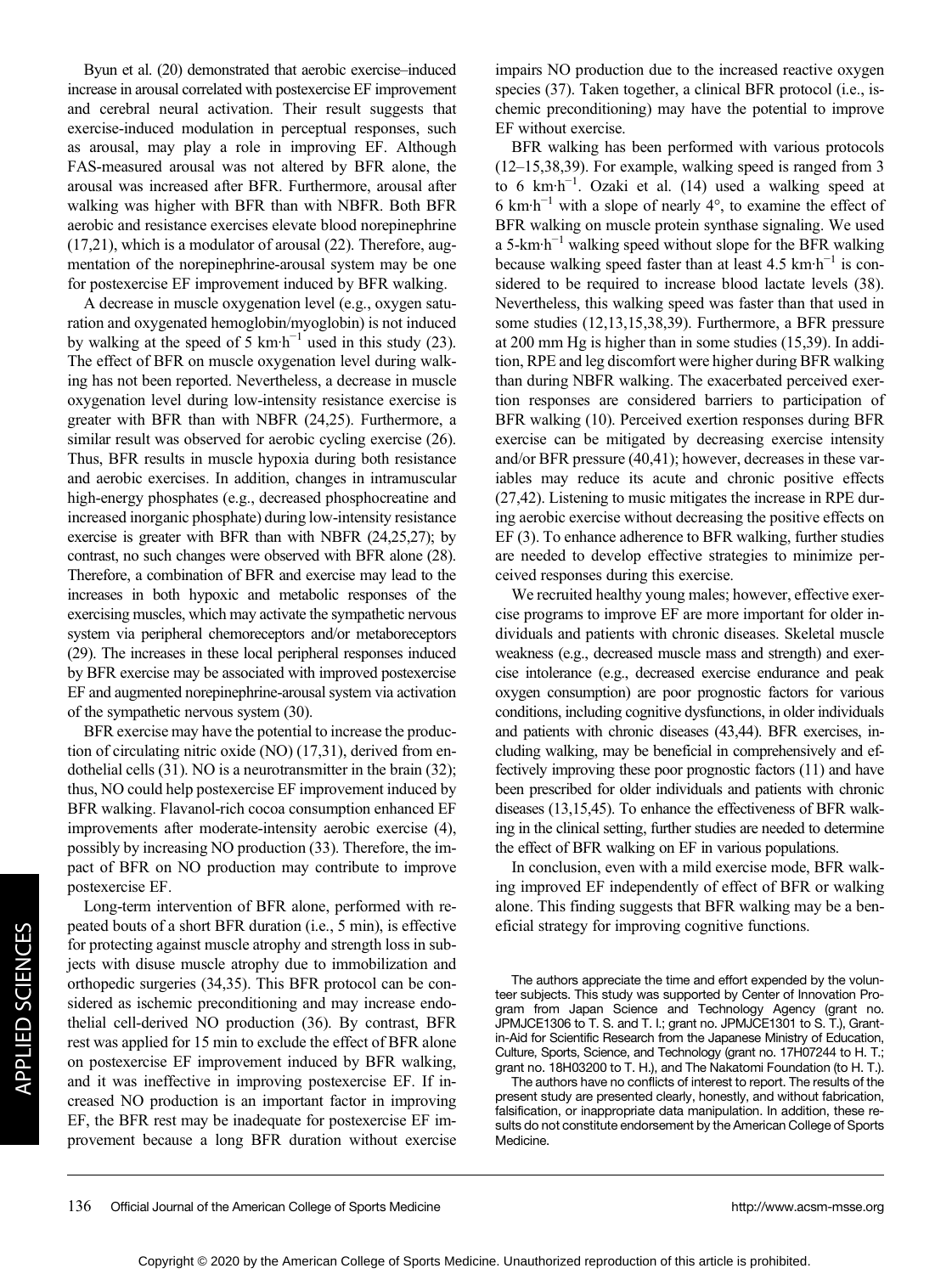Byun et al. (20) demonstrated that aerobic exercise–induced increase in arousal correlated with postexercise EF improvement and cerebral neural activation. Their result suggests that exercise-induced modulation in perceptual responses, such as arousal, may play a role in improving EF. Although FAS-measured arousal was not altered by BFR alone, the arousal was increased after BFR. Furthermore, arousal after walking was higher with BFR than with NBFR. Both BFR aerobic and resistance exercises elevate blood norepinephrine (17,21), which is a modulator of arousal (22). Therefore, augmentation of the norepinephrine-arousal system may be one for postexercise EF improvement induced by BFR walking.

A decrease in muscle oxygenation level (e.g., oxygen saturation and oxygenated hemoglobin/myoglobin) is not induced by walking at the speed of 5 km·h<sup>-1</sup> used in this study (23). The effect of BFR on muscle oxygenation level during walking has not been reported. Nevertheless, a decrease in muscle oxygenation level during low-intensity resistance exercise is greater with BFR than with NBFR (24,25). Furthermore, a similar result was observed for aerobic cycling exercise (26). Thus, BFR results in muscle hypoxia during both resistance and aerobic exercises. In addition, changes in intramuscular high-energy phosphates (e.g., decreased phosphocreatine and increased inorganic phosphate) during low-intensity resistance exercise is greater with BFR than with NBFR (24,25,27); by contrast, no such changes were observed with BFR alone (28). Therefore, a combination of BFR and exercise may lead to the increases in both hypoxic and metabolic responses of the exercising muscles, which may activate the sympathetic nervous system via peripheral chemoreceptors and/or metaboreceptors (29). The increases in these local peripheral responses induced by BFR exercise may be associated with improved postexercise EF and augmented norepinephrine-arousal system via activation of the sympathetic nervous system (30).

BFR exercise may have the potential to increase the production of circulating nitric oxide (NO) (17,31), derived from endothelial cells (31). NO is a neurotransmitter in the brain (32); thus, NO could help postexercise EF improvement induced by BFR walking. Flavanol-rich cocoa consumption enhanced EF improvements after moderate-intensity aerobic exercise (4), possibly by increasing NO production (33). Therefore, the impact of BFR on NO production may contribute to improve postexercise EF.

Long-term intervention of BFR alone, performed with repeated bouts of a short BFR duration (i.e., 5 min), is effective for protecting against muscle atrophy and strength loss in subjects with disuse muscle atrophy due to immobilization and orthopedic surgeries (34,35). This BFR protocol can be considered as ischemic preconditioning and may increase endothelial cell-derived NO production (36). By contrast, BFR rest was applied for 15 min to exclude the effect of BFR alone on postexercise EF improvement induced by BFR walking, and it was ineffective in improving postexercise EF. If increased NO production is an important factor in improving EF, the BFR rest may be inadequate for postexercise EF improvement because a long BFR duration without exercise

impairs NO production due to the increased reactive oxygen species (37). Taken together, a clinical BFR protocol (i.e., ischemic preconditioning) may have the potential to improve EF without exercise.

BFR walking has been performed with various protocols (12–15,38,39). For example, walking speed is ranged from 3 to 6 km·h−<sup>1</sup> . Ozaki et al. (14) used a walking speed at 6 km·h−<sup>1</sup> with a slope of nearly 4°, to examine the effect of BFR walking on muscle protein synthase signaling. We used a 5-km·h−<sup>1</sup> walking speed without slope for the BFR walking because walking speed faster than at least 4.5 km·h<sup>-1</sup> is considered to be required to increase blood lactate levels (38). Nevertheless, this walking speed was faster than that used in some studies (12,13,15,38,39). Furthermore, a BFR pressure at 200 mm Hg is higher than in some studies (15,39). In addition, RPE and leg discomfort were higher during BFR walking than during NBFR walking. The exacerbated perceived exertion responses are considered barriers to participation of BFR walking (10). Perceived exertion responses during BFR exercise can be mitigated by decreasing exercise intensity and/or BFR pressure (40,41); however, decreases in these variables may reduce its acute and chronic positive effects (27,42). Listening to music mitigates the increase in RPE during aerobic exercise without decreasing the positive effects on EF (3). To enhance adherence to BFR walking, further studies are needed to develop effective strategies to minimize perceived responses during this exercise.

We recruited healthy young males; however, effective exercise programs to improve EF are more important for older individuals and patients with chronic diseases. Skeletal muscle weakness (e.g., decreased muscle mass and strength) and exercise intolerance (e.g., decreased exercise endurance and peak oxygen consumption) are poor prognostic factors for various conditions, including cognitive dysfunctions, in older individuals and patients with chronic diseases (43,44). BFR exercises, including walking, may be beneficial in comprehensively and effectively improving these poor prognostic factors (11) and have been prescribed for older individuals and patients with chronic diseases (13,15,45). To enhance the effectiveness of BFR walking in the clinical setting, further studies are needed to determine the effect of BFR walking on EF in various populations.

In conclusion, even with a mild exercise mode, BFR walking improved EF independently of effect of BFR or walking alone. This finding suggests that BFR walking may be a beneficial strategy for improving cognitive functions.

The authors appreciate the time and effort expended by the volunteer subjects. This study was supported by Center of Innovation Program from Japan Science and Technology Agency (grant no. JPMJCE1306 to T. S. and T. I.; grant no. JPMJCE1301 to S. T.), Grantin-Aid for Scientific Research from the Japanese Ministry of Education, Culture, Sports, Science, and Technology (grant no. 17H07244 to H. T.; grant no. 18H03200 to T. H.), and The Nakatomi Foundation (to H. T.).

The authors have no conflicts of interest to report. The results of the present study are presented clearly, honestly, and without fabrication, falsification, or inappropriate data manipulation. In addition, these results do not constitute endorsement by the American College of Sports Medicine.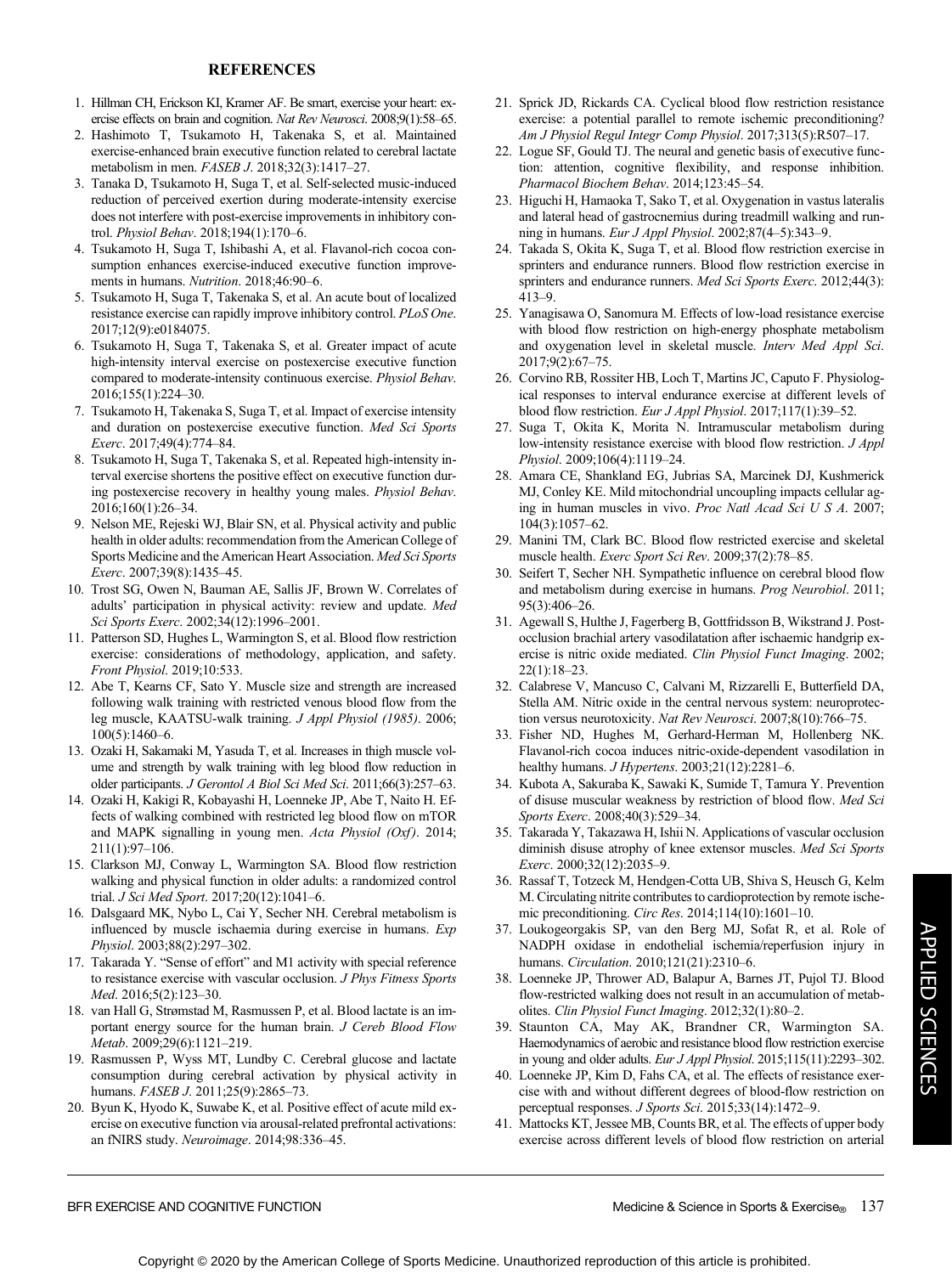#### REFERENCES

- 1. Hillman CH, Erickson KI, Kramer AF. Be smart, exercise your heart: exercise effects on brain and cognition. Nat Rev Neurosci. 2008;9(1):58-65.
- 2. Hashimoto T, Tsukamoto H, Takenaka S, et al. Maintained exercise-enhanced brain executive function related to cerebral lactate metabolism in men. FASEB J. 2018;32(3):1417–27.
- 3. Tanaka D, Tsukamoto H, Suga T, et al. Self-selected music-induced reduction of perceived exertion during moderate-intensity exercise does not interfere with post-exercise improvements in inhibitory control. Physiol Behav. 2018;194(1):170–6.
- 4. Tsukamoto H, Suga T, Ishibashi A, et al. Flavanol-rich cocoa consumption enhances exercise-induced executive function improvements in humans. Nutrition. 2018;46:90-6.
- 5. Tsukamoto H, Suga T, Takenaka S, et al. An acute bout of localized resistance exercise can rapidly improve inhibitory control. PLoS One. 2017;12(9):e0184075.
- 6. Tsukamoto H, Suga T, Takenaka S, et al. Greater impact of acute high-intensity interval exercise on postexercise executive function compared to moderate-intensity continuous exercise. Physiol Behav. 2016;155(1):224–30.
- 7. Tsukamoto H, Takenaka S, Suga T, et al. Impact of exercise intensity and duration on postexercise executive function. Med Sci Sports Exerc. 2017;49(4):774–84.
- 8. Tsukamoto H, Suga T, Takenaka S, et al. Repeated high-intensity interval exercise shortens the positive effect on executive function during postexercise recovery in healthy young males. Physiol Behav. 2016;160(1):26–34.
- 9. Nelson ME, Rejeski WJ, Blair SN, et al. Physical activity and public health in older adults: recommendation from the American College of Sports Medicine and the American Heart Association. Med Sci Sports Exerc. 2007;39(8):1435–45.
- 10. Trost SG, Owen N, Bauman AE, Sallis JF, Brown W. Correlates of adults' participation in physical activity: review and update. Med Sci Sports Exerc. 2002;34(12):1996–2001.
- 11. Patterson SD, Hughes L, Warmington S, et al. Blood flow restriction exercise: considerations of methodology, application, and safety. Front Physiol. 2019;10:533.
- 12. Abe T, Kearns CF, Sato Y. Muscle size and strength are increased following walk training with restricted venous blood flow from the leg muscle, KAATSU-walk training. J Appl Physiol (1985). 2006; 100(5):1460–6.
- 13. Ozaki H, Sakamaki M, Yasuda T, et al. Increases in thigh muscle volume and strength by walk training with leg blood flow reduction in older participants. J Gerontol A Biol Sci Med Sci. 2011;66(3):257–63.
- 14. Ozaki H, Kakigi R, Kobayashi H, Loenneke JP, Abe T, Naito H. Effects of walking combined with restricted leg blood flow on mTOR and MAPK signalling in young men. Acta Physiol (Oxf). 2014; 211(1):97–106.
- 15. Clarkson MJ, Conway L, Warmington SA. Blood flow restriction walking and physical function in older adults: a randomized control trial. J Sci Med Sport. 2017;20(12):1041–6.
- 16. Dalsgaard MK, Nybo L, Cai Y, Secher NH. Cerebral metabolism is influenced by muscle ischaemia during exercise in humans. Exp Physiol. 2003;88(2):297–302.
- 17. Takarada Y. "Sense of effort" and M1 activity with special reference to resistance exercise with vascular occlusion. J Phys Fitness Sports Med. 2016;5(2):123–30.
- 18. van Hall G, Strømstad M, Rasmussen P, et al. Blood lactate is an important energy source for the human brain. J Cereb Blood Flow Metab. 2009;29(6):1121–219.
- 19. Rasmussen P, Wyss MT, Lundby C. Cerebral glucose and lactate consumption during cerebral activation by physical activity in humans. FASEB J. 2011;25(9):2865-73.
- 20. Byun K, Hyodo K, Suwabe K, et al. Positive effect of acute mild exercise on executive function via arousal-related prefrontal activations: an fNIRS study. Neuroimage. 2014;98:336–45.
- 21. Sprick JD, Rickards CA. Cyclical blood flow restriction resistance exercise: a potential parallel to remote ischemic preconditioning? Am J Physiol Regul Integr Comp Physiol. 2017;313(5):R507–17.
- 22. Logue SF, Gould TJ. The neural and genetic basis of executive function: attention, cognitive flexibility, and response inhibition. Pharmacol Biochem Behav. 2014;123:45–54.
- 23. Higuchi H, Hamaoka T, Sako T, et al. Oxygenation in vastus lateralis and lateral head of gastrocnemius during treadmill walking and running in humans. Eur J Appl Physiol. 2002;87(4–5):343–9.
- 24. Takada S, Okita K, Suga T, et al. Blood flow restriction exercise in sprinters and endurance runners. Blood flow restriction exercise in sprinters and endurance runners. Med Sci Sports Exerc. 2012;44(3): 413–9.
- 25. Yanagisawa O, Sanomura M. Effects of low-load resistance exercise with blood flow restriction on high-energy phosphate metabolism and oxygenation level in skeletal muscle. Interv Med Appl Sci. 2017;9(2):67–75.
- 26. Corvino RB, Rossiter HB, Loch T, Martins JC, Caputo F. Physiological responses to interval endurance exercise at different levels of blood flow restriction. Eur J Appl Physiol. 2017;117(1):39–52.
- 27. Suga T, Okita K, Morita N. Intramuscular metabolism during low-intensity resistance exercise with blood flow restriction. J Appl Physiol. 2009;106(4):1119–24.
- 28. Amara CE, Shankland EG, Jubrias SA, Marcinek DJ, Kushmerick MJ, Conley KE. Mild mitochondrial uncoupling impacts cellular aging in human muscles in vivo. Proc Natl Acad Sci U S A. 2007; 104(3):1057–62.
- 29. Manini TM, Clark BC. Blood flow restricted exercise and skeletal muscle health. Exerc Sport Sci Rev. 2009;37(2):78–85.
- 30. Seifert T, Secher NH. Sympathetic influence on cerebral blood flow and metabolism during exercise in humans. Prog Neurobiol. 2011; 95(3):406–26.
- 31. Agewall S, Hulthe J, Fagerberg B, Gottfridsson B, Wikstrand J. Postocclusion brachial artery vasodilatation after ischaemic handgrip exercise is nitric oxide mediated. Clin Physiol Funct Imaging. 2002; 22(1):18–23.
- 32. Calabrese V, Mancuso C, Calvani M, Rizzarelli E, Butterfield DA, Stella AM. Nitric oxide in the central nervous system: neuroprotection versus neurotoxicity. Nat Rev Neurosci. 2007;8(10):766–75.
- 33. Fisher ND, Hughes M, Gerhard-Herman M, Hollenberg NK. Flavanol-rich cocoa induces nitric-oxide-dependent vasodilation in healthy humans. *J Hypertens*. 2003;21(12):2281-6.
- 34. Kubota A, Sakuraba K, Sawaki K, Sumide T, Tamura Y. Prevention of disuse muscular weakness by restriction of blood flow. Med Sci Sports Exerc. 2008;40(3):529–34.
- 35. Takarada Y, Takazawa H, Ishii N. Applications of vascular occlusion diminish disuse atrophy of knee extensor muscles. Med Sci Sports Exerc. 2000;32(12):2035–9.
- 36. Rassaf T, Totzeck M, Hendgen-Cotta UB, Shiva S, Heusch G, Kelm M. Circulating nitrite contributes to cardioprotection by remote ischemic preconditioning. Circ Res. 2014;114(10):1601–10.
- 37. Loukogeorgakis SP, van den Berg MJ, Sofat R, et al. Role of NADPH oxidase in endothelial ischemia/reperfusion injury in humans. Circulation. 2010;121(21):2310–6.
- 38. Loenneke JP, Thrower AD, Balapur A, Barnes JT, Pujol TJ. Blood flow-restricted walking does not result in an accumulation of metabolites. Clin Physiol Funct Imaging. 2012;32(1):80–2.
- 39. Staunton CA, May AK, Brandner CR, Warmington SA. Haemodynamics of aerobic and resistance blood flow restriction exercise in young and older adults. Eur J Appl Physiol. 2015;115(11):2293–302.
- 40. Loenneke JP, Kim D, Fahs CA, et al. The effects of resistance exercise with and without different degrees of blood-flow restriction on perceptual responses. J Sports Sci. 2015;33(14):1472–9.
- 41. Mattocks KT, Jessee MB, Counts BR, et al. The effects of upper body exercise across different levels of blood flow restriction on arterial